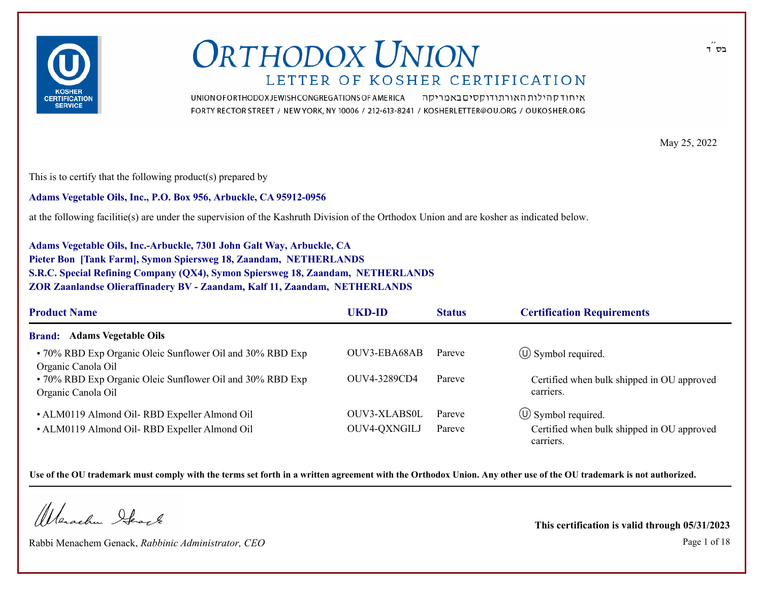

איחוד קהילות האורתודוקסים באמריקה UNION OF ORTHODOX JEWISH CONGREGATIONS OF AMERICA FORTY RECTOR STREET / NEW YORK, NY 10006 / 212-613-8241 / KOSHERLETTER@OU.ORG / OUKOSHER.ORG

May 25, 2022

This is to certify that the following product(s) prepared by

**Adams Vegetable Oils, Inc., P.O. Box 956, Arbuckle, CA 95912-0956**

at the following facilitie(s) are under the supervision of the Kashruth Division of the Orthodox Union and are kosher as indicated below.

**Adams Vegetable Oils, Inc.-Arbuckle, 7301 John Galt Way, Arbuckle, CA Pieter Bon [Tank Farm], Symon Spiersweg 18, Zaandam, NETHERLANDS S.R.C. Special Refining Company (QX4), Symon Spiersweg 18, Zaandam, NETHERLANDS ZOR Zaanlandse Olieraffinadery BV - Zaandam, Kalf 11, Zaandam, NETHERLANDS**

| <b>Product Name</b>                                                             | UKD-ID              | <b>Status</b> | <b>Certification Requirements</b>                       |
|---------------------------------------------------------------------------------|---------------------|---------------|---------------------------------------------------------|
| <b>Brand:</b> Adams Vegetable Oils                                              |                     |               |                                                         |
| • 70% RBD Exp Organic Oleic Sunflower Oil and 30% RBD Exp<br>Organic Canola Oil | OUV3-EBA68AB        | Pareve        | $\circ$ Symbol required.                                |
| • 70% RBD Exp Organic Oleic Sunflower Oil and 30% RBD Exp<br>Organic Canola Oil | OUV4-3289CD4        | Pareve        | Certified when bulk shipped in OU approved<br>carriers. |
| • ALM0119 Almond Oil-RBD Expeller Almond Oil                                    | <b>OUV3-XLABS0L</b> | Pareve        | $\circ$ Symbol required.                                |
| • ALM0119 Almond Oil-RBD Expeller Almond Oil                                    | OUV4-QXNGILJ        | Pareve        | Certified when bulk shipped in OU approved<br>carriers. |

**Use of the OU trademark must comply with the terms set forth in a written agreement with the Orthodox Union. Any other use of the OU trademark is not authorized.**

Warachen Ifearle

Rabbi Menachem Genack, *Rabbinic Administrator, CEO* Page 1 of 18

**This certification is valid through 05/31/2023**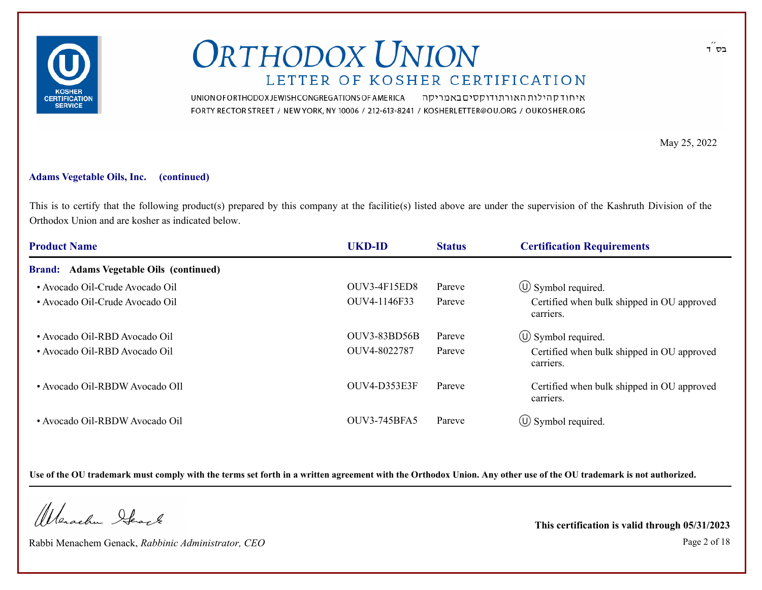

UNION OF ORTHODOX JEWISH CONGREGATIONS OF AMERICA איחוד קהילות האורתודוקסים באמריקה FORTY RECTOR STREET / NEW YORK, NY 10006 / 212-613-8241 / KOSHERLETTER@OU.ORG / OUKOSHER.ORG

May 25, 2022

#### **Adams Vegetable Oils, Inc. (continued)**

This is to certify that the following product(s) prepared by this company at the facilitie(s) listed above are under the supervision of the Kashruth Division of the Orthodox Union and are kosher as indicated below.

| <b>Product Name</b>                     | <b>UKD-ID</b>       | <b>Status</b> | <b>Certification Requirements</b>                       |
|-----------------------------------------|---------------------|---------------|---------------------------------------------------------|
| Brand: Adams Vegetable Oils (continued) |                     |               |                                                         |
| • Avocado Oil-Crude Avocado Oil         | OUV3-4F15ED8        | Pareve        | $\circ$ Symbol required.                                |
| • Avocado Oil-Crude Avocado Oil         | OUV4-1146F33        | Pareve        | Certified when bulk shipped in OU approved<br>carriers. |
| • Avocado Oil-RBD Avocado Oil           | OUV3-83BD56B        | Pareve        | $\circled{1}$ Symbol required.                          |
| • Avocado Oil-RBD Avocado Oil           | OUV4-8022787        | Pareve        | Certified when bulk shipped in OU approved<br>carriers. |
| • Avocado Oil-RBDW Avocado OIl          | OUV4-D353E3F        | Pareve        | Certified when bulk shipped in OU approved<br>carriers. |
| • Avocado Oil-RBDW Avocado Oil          | <b>OUV3-745BFA5</b> | Pareve        | $\circled{1}$ Symbol required.                          |

**Use of the OU trademark must comply with the terms set forth in a written agreement with the Orthodox Union. Any other use of the OU trademark is not authorized.**

Wanachu Stack

Rabbi Menachem Genack, *Rabbinic Administrator, CEO* Page 2 of 18

**This certification is valid through 05/31/2023**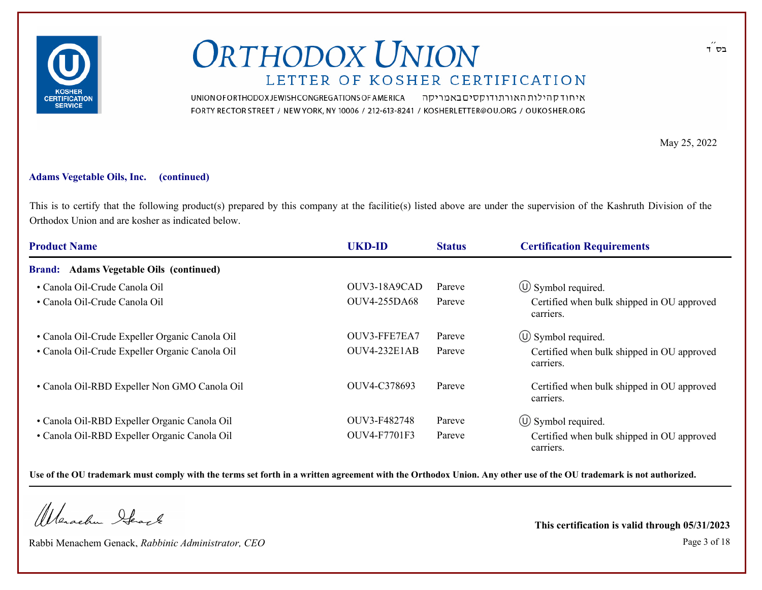

איחוד קהילות האורתודוקסים באמריקה UNION OF ORTHODOX JEWISH CONGREGATIONS OF AMERICA FORTY RECTOR STREET / NEW YORK, NY 10006 / 212-613-8241 / KOSHERLETTER@OU.ORG / OUKOSHER.ORG

May 25, 2022

#### **Adams Vegetable Oils, Inc. (continued)**

This is to certify that the following product(s) prepared by this company at the facilitie(s) listed above are under the supervision of the Kashruth Division of the Orthodox Union and are kosher as indicated below.

| <b>Product Name</b>                            | <b>UKD-ID</b>       | <b>Status</b> | <b>Certification Requirements</b>                       |
|------------------------------------------------|---------------------|---------------|---------------------------------------------------------|
| Brand: Adams Vegetable Oils (continued)        |                     |               |                                                         |
| • Canola Oil-Crude Canola Oil                  | OUV3-18A9CAD        | Pareve        | $\circled{1}$ Symbol required.                          |
| • Canola Oil-Crude Canola Oil                  | <b>OUV4-255DA68</b> | Pareve        | Certified when bulk shipped in OU approved<br>carriers. |
| • Canola Oil-Crude Expeller Organic Canola Oil | OUV3-FFE7EA7        | Pareve        | $\circled{1}$ Symbol required.                          |
| • Canola Oil-Crude Expeller Organic Canola Oil | OUV4-232E1AB        | Pareve        | Certified when bulk shipped in OU approved<br>carriers. |
| • Canola Oil-RBD Expeller Non GMO Canola Oil   | OUV4-C378693        | Pareve        | Certified when bulk shipped in OU approved<br>carriers. |
| • Canola Oil-RBD Expeller Organic Canola Oil   | OUV3-F482748        | Pareve        | $\circled{1}$ Symbol required.                          |
| · Canola Oil-RBD Expeller Organic Canola Oil   | OUV4-F7701F3        | Pareve        | Certified when bulk shipped in OU approved<br>carriers. |

**Use of the OU trademark must comply with the terms set forth in a written agreement with the Orthodox Union. Any other use of the OU trademark is not authorized.**

Wanachu Stack

Rabbi Menachem Genack, *Rabbinic Administrator, CEO* Page 3 of 18

**This certification is valid through 05/31/2023**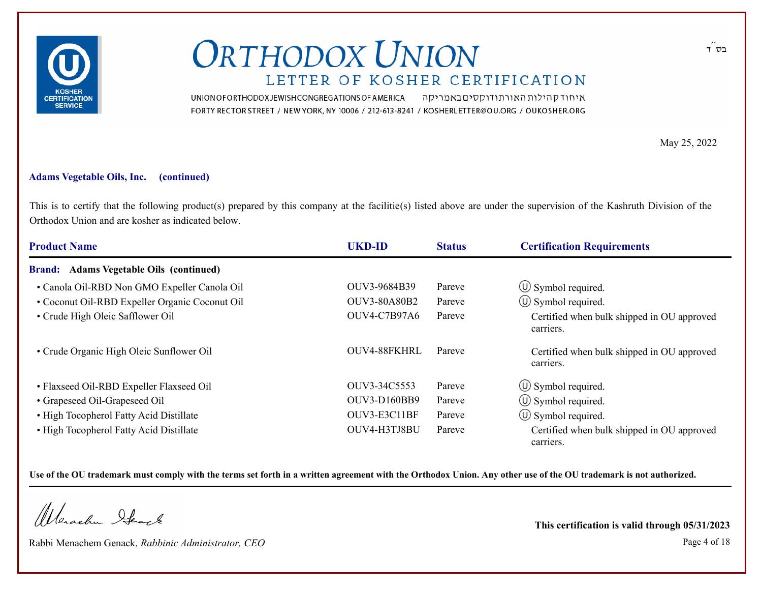

UNION OF ORTHODOX JEWISH CONGREGATIONS OF AMERICA איחוד קהילות האורתודוקסים באמריקה FORTY RECTOR STREET / NEW YORK, NY 10006 / 212-613-8241 / KOSHERLETTER@OU.ORG / OUKOSHER.ORG

May 25, 2022

#### **Adams Vegetable Oils, Inc. (continued)**

This is to certify that the following product(s) prepared by this company at the facilitie(s) listed above are under the supervision of the Kashruth Division of the Orthodox Union and are kosher as indicated below.

| <b>Product Name</b>                            | <b>UKD-ID</b>       | <b>Status</b> | <b>Certification Requirements</b>                       |
|------------------------------------------------|---------------------|---------------|---------------------------------------------------------|
| Brand: Adams Vegetable Oils (continued)        |                     |               |                                                         |
| • Canola Oil-RBD Non GMO Expeller Canola Oil   | OUV3-9684B39        | Pareve        | $\circ$ Symbol required.                                |
| • Coconut Oil-RBD Expeller Organic Coconut Oil | <b>OUV3-80A80B2</b> | Pareve        | $\circ$ Symbol required.                                |
| • Crude High Oleic Safflower Oil               | <b>OUV4-C7B97A6</b> | Pareve        | Certified when bulk shipped in OU approved<br>carriers. |
| • Crude Organic High Oleic Sunflower Oil       | OUV4-88FKHRL        | Pareve        | Certified when bulk shipped in OU approved<br>carriers. |
| • Flaxseed Oil-RBD Expeller Flaxseed Oil       | OUV3-34C5553        | Pareve        | $\circled{1}$ Symbol required.                          |
| • Grapeseed Oil-Grapeseed Oil                  | <b>OUV3-D160BB9</b> | Pareve        | $\circled{1}$ Symbol required.                          |
| • High Tocopherol Fatty Acid Distillate        | OUV3-E3C11BF        | Pareve        | $\circ$ Symbol required.                                |
| • High Tocopherol Fatty Acid Distillate        | OUV4-H3TJ8BU        | Pareve        | Certified when bulk shipped in OU approved<br>carriers. |

**Use of the OU trademark must comply with the terms set forth in a written agreement with the Orthodox Union. Any other use of the OU trademark is not authorized.**

Wanachu Stack

Rabbi Menachem Genack, *Rabbinic Administrator, CEO* Page 4 of 18

**This certification is valid through 05/31/2023**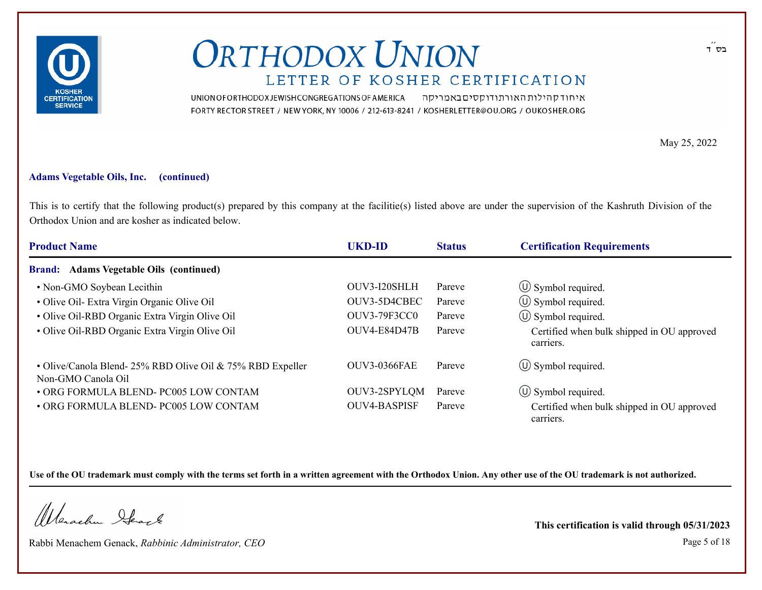

UNION OF ORTHODOX JEWISH CONGREGATIONS OF AMERICA איחוד קהילות האורתודוקסים באמריקה FORTY RECTOR STREET / NEW YORK, NY 10006 / 212-613-8241 / KOSHERLETTER@OU.ORG / OUKOSHER.ORG

May 25, 2022

#### **Adams Vegetable Oils, Inc. (continued)**

This is to certify that the following product(s) prepared by this company at the facilitie(s) listed above are under the supervision of the Kashruth Division of the Orthodox Union and are kosher as indicated below.

| <b>Product Name</b>                                                             | <b>UKD-ID</b>       | <b>Status</b> | <b>Certification Requirements</b>                       |
|---------------------------------------------------------------------------------|---------------------|---------------|---------------------------------------------------------|
| Brand: Adams Vegetable Oils (continued)                                         |                     |               |                                                         |
| • Non-GMO Soybean Lecithin                                                      | OUV3-I20SHLH        | Pareve        | $\circ$ Symbol required.                                |
| • Olive Oil- Extra Virgin Organic Olive Oil                                     | OUV3-5D4CBEC        | Pareve        | $\circ$ Symbol required.                                |
| • Olive Oil-RBD Organic Extra Virgin Olive Oil                                  | <b>OUV3-79F3CC0</b> | Pareve        | $\circled{1}$ Symbol required.                          |
| · Olive Oil-RBD Organic Extra Virgin Olive Oil                                  | OUV4-E84D47B        | Pareve        | Certified when bulk shipped in OU approved<br>carriers. |
| • Olive/Canola Blend-25% RBD Olive Oil & 75% RBD Expeller<br>Non-GMO Canola Oil | <b>OUV3-0366FAE</b> | Pareve        | $\circled{1}$ Symbol required.                          |
| • ORG FORMULA BLEND- PC005 LOW CONTAM                                           | OUV3-2SPYLQM        | Pareve        | $\circ$ Symbol required.                                |
| • ORG FORMULA BLEND- PC005 LOW CONTAM                                           | <b>OUV4-BASPISF</b> | Pareve        | Certified when bulk shipped in OU approved<br>carriers. |

**Use of the OU trademark must comply with the terms set forth in a written agreement with the Orthodox Union. Any other use of the OU trademark is not authorized.**

Wanachu Stack

Rabbi Menachem Genack, *Rabbinic Administrator, CEO* Page 5 of 18

**This certification is valid through 05/31/2023**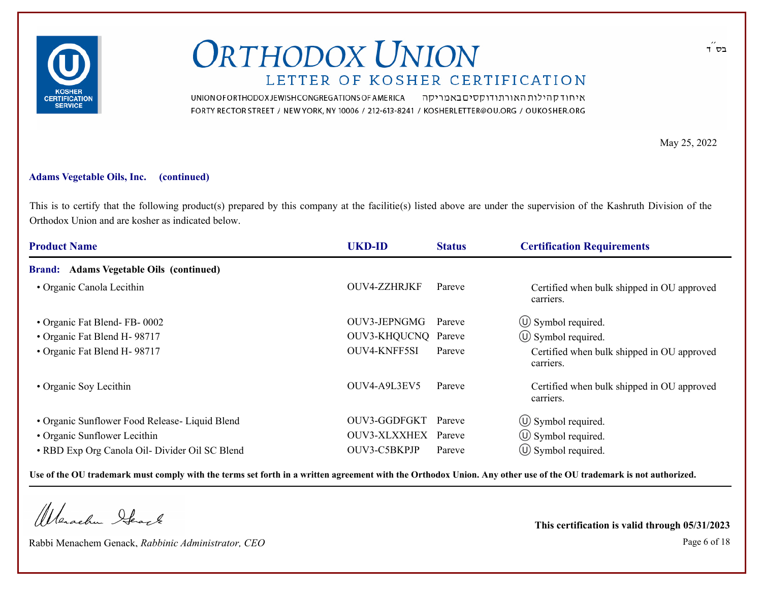

UNION OF ORTHODOX JEWISH CONGREGATIONS OF AMERICA איחוד קהילות האורתודוקסים באמריקה FORTY RECTOR STREET / NEW YORK, NY 10006 / 212-613-8241 / KOSHERLETTER@OU.ORG / OUKOSHER.ORG

May 25, 2022

#### **Adams Vegetable Oils, Inc. (continued)**

This is to certify that the following product(s) prepared by this company at the facilitie(s) listed above are under the supervision of the Kashruth Division of the Orthodox Union and are kosher as indicated below.

| <b>Product Name</b>                            | <b>UKD-ID</b>       | <b>Status</b> | <b>Certification Requirements</b>                       |
|------------------------------------------------|---------------------|---------------|---------------------------------------------------------|
| Brand: Adams Vegetable Oils (continued)        |                     |               |                                                         |
| • Organic Canola Lecithin                      | OUV4-ZZHRJKF        | Pareve        | Certified when bulk shipped in OU approved<br>carriers. |
| • Organic Fat Blend-FB-0002                    | OUV3-JEPNGMG        | Pareve        | $\circ$ Symbol required.                                |
| • Organic Fat Blend H-98717                    | OUV3-KHQUCNQ Pareve |               | $\circ$ Symbol required.                                |
| • Organic Fat Blend H-98717                    | OUV4-KNFF5SI        | Pareve        | Certified when bulk shipped in OU approved<br>carriers. |
| • Organic Soy Lecithin                         | OUV4-A9L3EV5        | Pareve        | Certified when bulk shipped in OU approved<br>carriers. |
| • Organic Sunflower Food Release- Liquid Blend | OUV3-GGDFGKT        | Pareve        | $\circled{1}$ Symbol required.                          |
| • Organic Sunflower Lecithin                   | OUV3-XLXXHEX        | Pareve        | $\circ$ Symbol required.                                |
| • RBD Exp Org Canola Oil- Divider Oil SC Blend | OUV3-C5BKPJP        | Pareve        | $\circ$ Symbol required.                                |

**Use of the OU trademark must comply with the terms set forth in a written agreement with the Orthodox Union. Any other use of the OU trademark is not authorized.**

Wanachu Stack

Rabbi Menachem Genack, *Rabbinic Administrator, CEO* Page 6 of 18

**This certification is valid through 05/31/2023**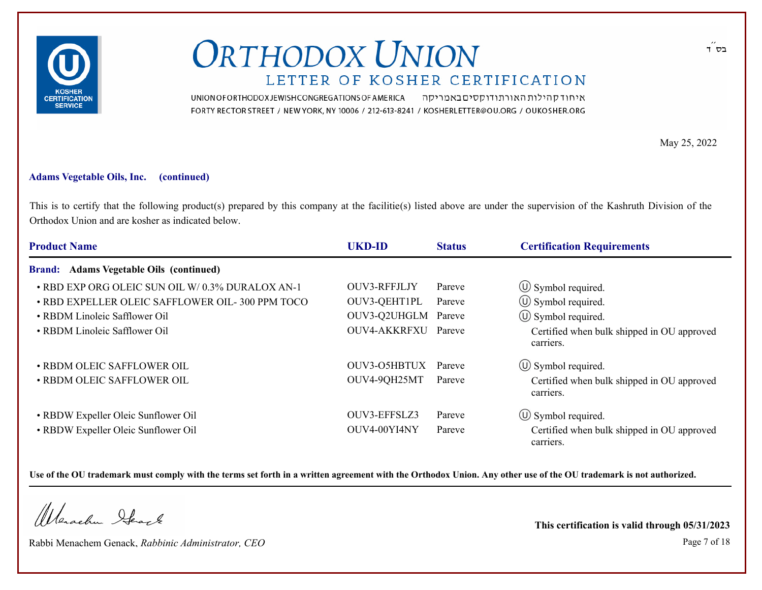

UNION OF ORTHODOX JEWISH CONGREGATIONS OF AMERICA איחוד קהילות האורתודוקסים באמריקה FORTY RECTOR STREET / NEW YORK, NY 10006 / 212-613-8241 / KOSHERLETTER@OU.ORG / OUKOSHER.ORG

May 25, 2022

#### **Adams Vegetable Oils, Inc. (continued)**

This is to certify that the following product(s) prepared by this company at the facilitie(s) listed above are under the supervision of the Kashruth Division of the Orthodox Union and are kosher as indicated below.

| <b>Product Name</b>                             | <b>UKD-ID</b>       | <b>Status</b> | <b>Certification Requirements</b>                       |
|-------------------------------------------------|---------------------|---------------|---------------------------------------------------------|
| <b>Brand:</b> Adams Vegetable Oils (continued)  |                     |               |                                                         |
| • RBD EXP ORG OLEIC SUN OIL W/0.3% DURALOX AN-1 | OUV3-RFFJLJY        | Pareve        | $\circled{1}$ Symbol required.                          |
| • RBD EXPELLER OLEIC SAFFLOWER OIL-300 PPM TOCO | OUV3-QEHT1PL        | Pareve        | $\circled{1}$ Symbol required.                          |
| • RBDM Linoleic Safflower Oil                   | OUV3-Q2UHGLM        | Pareve        | $\circled{1}$ Symbol required.                          |
| • RBDM Linoleic Safflower Oil                   | OUV4-AKKRFXU Pareve |               | Certified when bulk shipped in OU approved<br>carriers. |
| · RBDM OLEIC SAFFLOWER OIL                      | OUV3-O5HBTUX        | Pareve        | $\circ$ Symbol required.                                |
| • RBDM OLEIC SAFFLOWER OIL                      | OUV4-9QH25MT        | Pareve        | Certified when bulk shipped in OU approved<br>carriers. |
| • RBDW Expeller Oleic Sunflower Oil             | OUV3-EFFSLZ3        | Pareve        | $\circ$ Symbol required.                                |
| • RBDW Expeller Oleic Sunflower Oil             | OUV4-00YI4NY        | Pareve        | Certified when bulk shipped in OU approved<br>carriers. |

**Use of the OU trademark must comply with the terms set forth in a written agreement with the Orthodox Union. Any other use of the OU trademark is not authorized.**

Wanachu Stack

Rabbi Menachem Genack, *Rabbinic Administrator, CEO* Page 7 of 18

**This certification is valid through 05/31/2023**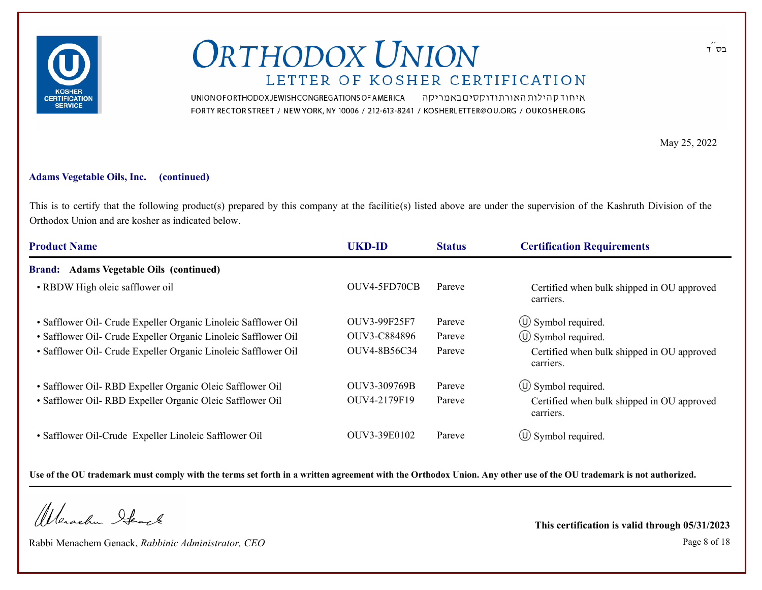

UNION OF ORTHODOX JEWISH CONGREGATIONS OF AMERICA איחוד קהילות האורתודוקסים באמריקה FORTY RECTOR STREET / NEW YORK, NY 10006 / 212-613-8241 / KOSHERLETTER@OU.ORG / OUKOSHER.ORG

May 25, 2022

#### **Adams Vegetable Oils, Inc. (continued)**

This is to certify that the following product(s) prepared by this company at the facilitie(s) listed above are under the supervision of the Kashruth Division of the Orthodox Union and are kosher as indicated below.

| <b>Product Name</b>                                            | <b>UKD-ID</b> | <b>Status</b> | <b>Certification Requirements</b>                       |
|----------------------------------------------------------------|---------------|---------------|---------------------------------------------------------|
| Brand: Adams Vegetable Oils (continued)                        |               |               |                                                         |
| • RBDW High oleic safflower oil                                | OUV4-5FD70CB  | Pareve        | Certified when bulk shipped in OU approved<br>carriers. |
| • Safflower Oil- Crude Expeller Organic Linoleic Safflower Oil | OUV3-99F25F7  | Pareve        | $\circled{1}$ Symbol required.                          |
| • Safflower Oil- Crude Expeller Organic Linoleic Safflower Oil | OUV3-C884896  | Pareve        | $\circ$ Symbol required.                                |
| · Safflower Oil- Crude Expeller Organic Linoleic Safflower Oil | OUV4-8B56C34  | Pareve        | Certified when bulk shipped in OU approved<br>carriers. |
| • Safflower Oil- RBD Expeller Organic Oleic Safflower Oil      | OUV3-309769B  | Pareve        | $\circled{1}$ Symbol required.                          |
| · Safflower Oil- RBD Expeller Organic Oleic Safflower Oil      | OUV4-2179F19  | Pareve        | Certified when bulk shipped in OU approved<br>carriers. |
| • Safflower Oil-Crude Expeller Linoleic Safflower Oil          | OUV3-39E0102  | Pareve        | $\circ$ Symbol required.                                |

**Use of the OU trademark must comply with the terms set forth in a written agreement with the Orthodox Union. Any other use of the OU trademark is not authorized.**

Wanachu Stack

Rabbi Menachem Genack, *Rabbinic Administrator, CEO* Page 8 of 18

**This certification is valid through 05/31/2023**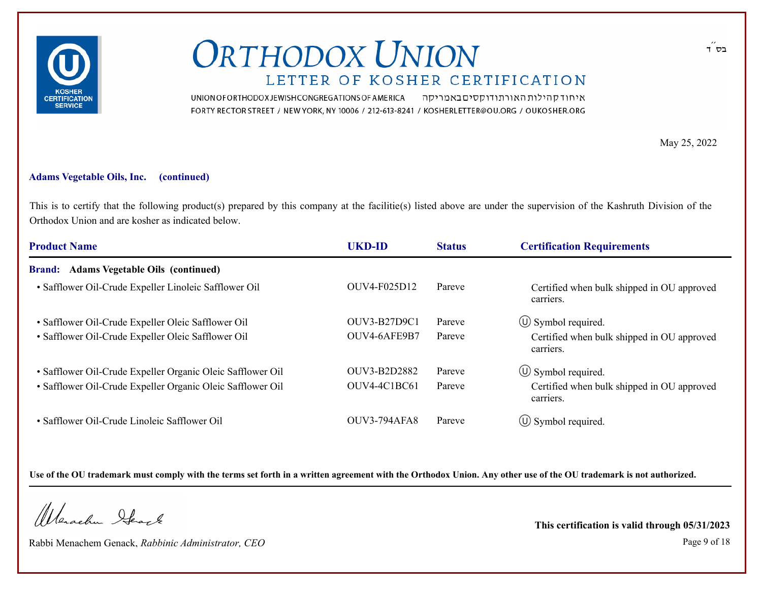

UNION OF ORTHODOX JEWISH CONGREGATIONS OF AMERICA איחוד קהילות האורתודוקסים באמריקה FORTY RECTOR STREET / NEW YORK, NY 10006 / 212-613-8241 / KOSHERLETTER@OU.ORG / OUKOSHER.ORG

May 25, 2022

#### **Adams Vegetable Oils, Inc. (continued)**

This is to certify that the following product(s) prepared by this company at the facilitie(s) listed above are under the supervision of the Kashruth Division of the Orthodox Union and are kosher as indicated below.

| <b>Product Name</b>                                        | <b>UKD-ID</b>       | <b>Status</b> | <b>Certification Requirements</b>                       |
|------------------------------------------------------------|---------------------|---------------|---------------------------------------------------------|
| <b>Brand:</b> Adams Vegetable Oils (continued)             |                     |               |                                                         |
| · Safflower Oil-Crude Expeller Linoleic Safflower Oil      | OUV4-F025D12        | Pareve        | Certified when bulk shipped in OU approved<br>carriers. |
| · Safflower Oil-Crude Expeller Oleic Safflower Oil         | OUV3-B27D9C1        | Pareve        | $\circled{1}$ Symbol required.                          |
| · Safflower Oil-Crude Expeller Oleic Safflower Oil         | OUV4-6AFE9B7        | Pareve        | Certified when bulk shipped in OU approved<br>carriers. |
| · Safflower Oil-Crude Expeller Organic Oleic Safflower Oil | OUV3-B2D2882        | Pareve        | $\circled{1}$ Symbol required.                          |
| · Safflower Oil-Crude Expeller Organic Oleic Safflower Oil | OUV4-4C1BC61        | Pareve        | Certified when bulk shipped in OU approved<br>carriers. |
| • Safflower Oil-Crude Linoleic Safflower Oil               | <b>OUV3-794AFA8</b> | Pareve        | $\circled{1}$ Symbol required.                          |

**Use of the OU trademark must comply with the terms set forth in a written agreement with the Orthodox Union. Any other use of the OU trademark is not authorized.**

Wanachu Stack

Rabbi Menachem Genack, *Rabbinic Administrator, CEO* Page 9 of 18

**This certification is valid through 05/31/2023**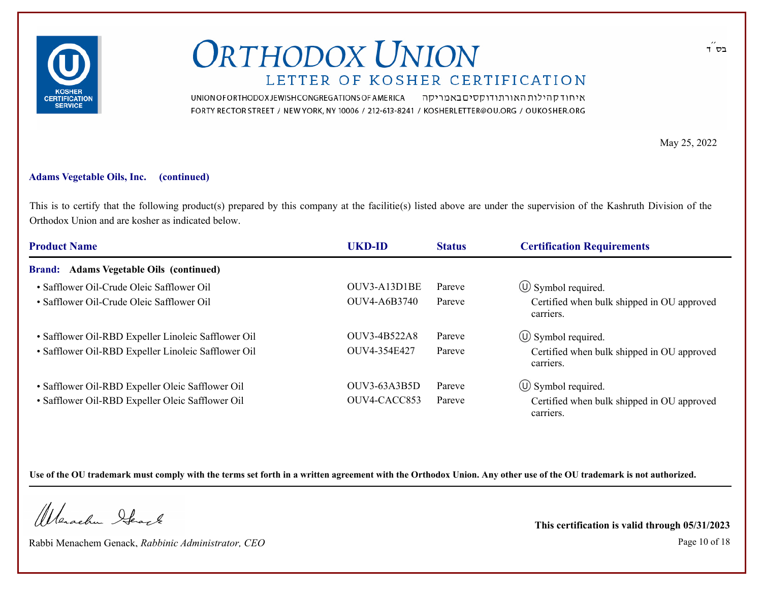

UNION OF ORTHODOX JEWISH CONGREGATIONS OF AMERICA איחוד קהילות האורתודוקסים באמריקה FORTY RECTOR STREET / NEW YORK, NY 10006 / 212-613-8241 / KOSHERLETTER@OU.ORG / OUKOSHER.ORG

May 25, 2022

#### **Adams Vegetable Oils, Inc. (continued)**

This is to certify that the following product(s) prepared by this company at the facilitie(s) listed above are under the supervision of the Kashruth Division of the Orthodox Union and are kosher as indicated below.

| <b>Product Name</b>                                 | <b>UKD-ID</b>       | <b>Status</b> | <b>Certification Requirements</b>                       |
|-----------------------------------------------------|---------------------|---------------|---------------------------------------------------------|
| <b>Brand:</b> Adams Vegetable Oils (continued)      |                     |               |                                                         |
| • Safflower Oil-Crude Oleic Safflower Oil           | OUV3-A13D1BE        | Pareve        | $\circled{1}$ Symbol required.                          |
| • Safflower Oil-Crude Oleic Safflower Oil           | OUV4-A6B3740        | Pareve        | Certified when bulk shipped in OU approved<br>carriers. |
| • Safflower Oil-RBD Expeller Linoleic Safflower Oil | OUV3-4B522A8        | Pareve        | $\circled{1}$ Symbol required.                          |
| · Safflower Oil-RBD Expeller Linoleic Safflower Oil | OUV4-354E427        | Pareve        | Certified when bulk shipped in OU approved<br>carriers. |
| • Safflower Oil-RBD Expeller Oleic Safflower Oil    | <b>OUV3-63A3B5D</b> | Pareve        | $\circled{1}$ Symbol required.                          |
| • Safflower Oil-RBD Expeller Oleic Safflower Oil    | OUV4-CACC853        | Pareve        | Certified when bulk shipped in OU approved<br>carriers. |

**Use of the OU trademark must comply with the terms set forth in a written agreement with the Orthodox Union. Any other use of the OU trademark is not authorized.**

Wanachu Stack

Rabbi Menachem Genack, *Rabbinic Administrator, CEO* Page 10 of 18

**This certification is valid through 05/31/2023**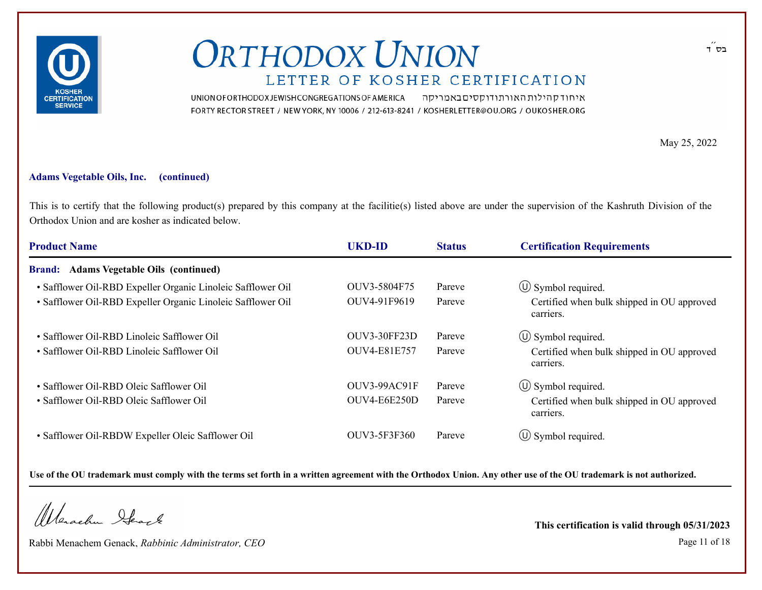

UNION OF ORTHODOX JEWISH CONGREGATIONS OF AMERICA איחוד קהילות האורתודוקסים באמריקה FORTY RECTOR STREET / NEW YORK, NY 10006 / 212-613-8241 / KOSHERLETTER@OU.ORG / OUKOSHER.ORG

May 25, 2022

#### **Adams Vegetable Oils, Inc. (continued)**

This is to certify that the following product(s) prepared by this company at the facilitie(s) listed above are under the supervision of the Kashruth Division of the Orthodox Union and are kosher as indicated below.

| <b>Product Name</b>                                         | <b>UKD-ID</b>       | <b>Status</b> | <b>Certification Requirements</b>                       |
|-------------------------------------------------------------|---------------------|---------------|---------------------------------------------------------|
| Brand: Adams Vegetable Oils (continued)                     |                     |               |                                                         |
| • Safflower Oil-RBD Expeller Organic Linoleic Safflower Oil | OUV3-5804F75        | Pareve        | $\circ$ Symbol required.                                |
| • Safflower Oil-RBD Expeller Organic Linoleic Safflower Oil | OUV4-91F9619        | Pareve        | Certified when bulk shipped in OU approved<br>carriers. |
| • Safflower Oil-RBD Linoleic Safflower Oil                  | <b>OUV3-30FF23D</b> | Pareve        | $\circled{1}$ Symbol required.                          |
| • Safflower Oil-RBD Linoleic Safflower Oil                  | <b>OUV4-E81E757</b> | Pareve        | Certified when bulk shipped in OU approved<br>carriers. |
| • Safflower Oil-RBD Oleic Safflower Oil                     | OUV3-99AC91F        | Pareve        | $\circled{1}$ Symbol required.                          |
| • Safflower Oil-RBD Oleic Safflower Oil                     | OUV4-E6E250D        | Pareve        | Certified when bulk shipped in OU approved<br>carriers. |
| • Safflower Oil-RBDW Expeller Oleic Safflower Oil           | OUV3-5F3F360        | Pareve        | $\circled{1}$ Symbol required.                          |

**Use of the OU trademark must comply with the terms set forth in a written agreement with the Orthodox Union. Any other use of the OU trademark is not authorized.**

Wanachu Stack

Rabbi Menachem Genack, *Rabbinic Administrator, CEO* Page 11 of 18

**This certification is valid through 05/31/2023**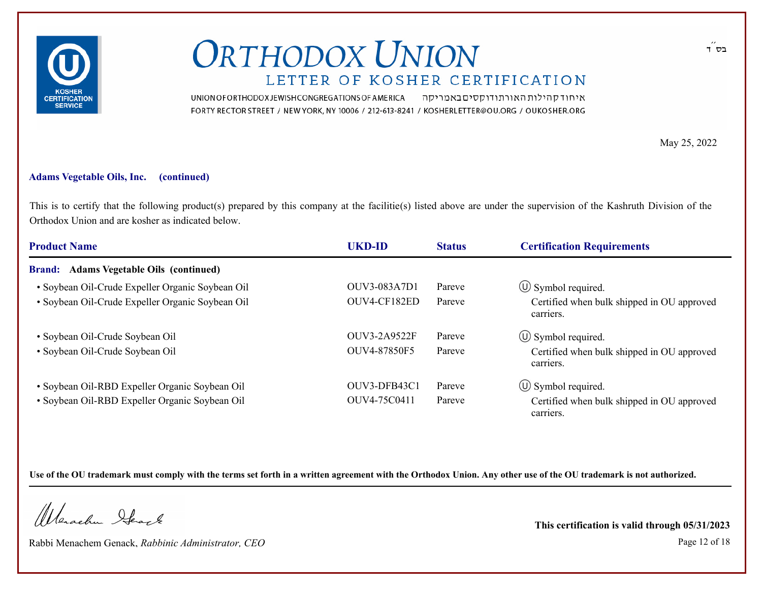

UNION OF ORTHODOX JEWISH CONGREGATIONS OF AMERICA איחוד קהילות האורתודוקסים באמריקה FORTY RECTOR STREET / NEW YORK, NY 10006 / 212-613-8241 / KOSHERLETTER@OU.ORG / OUKOSHER.ORG

May 25, 2022

#### **Adams Vegetable Oils, Inc. (continued)**

This is to certify that the following product(s) prepared by this company at the facilitie(s) listed above are under the supervision of the Kashruth Division of the Orthodox Union and are kosher as indicated below.

| <b>Product Name</b>                                      | <b>UKD-ID</b>       | <b>Status</b> | <b>Certification Requirements</b>                       |
|----------------------------------------------------------|---------------------|---------------|---------------------------------------------------------|
| <b>Adams Vegetable Oils (continued)</b><br><b>Brand:</b> |                     |               |                                                         |
| • Soybean Oil-Crude Expeller Organic Soybean Oil         | OUV3-083A7D1        | Pareve        | $\circ$ Symbol required.                                |
| · Soybean Oil-Crude Expeller Organic Soybean Oil         | OUV4-CF182ED        | Pareve        | Certified when bulk shipped in OU approved<br>carriers. |
| · Soybean Oil-Crude Soybean Oil                          | <b>OUV3-2A9522F</b> | Pareve        | $\circ$ Symbol required.                                |
| · Soybean Oil-Crude Soybean Oil                          | OUV4-87850F5        | Pareve        | Certified when bulk shipped in OU approved<br>carriers. |
| • Soybean Oil-RBD Expeller Organic Soybean Oil           | OUV3-DFB43C1        | Pareve        | $\circ$ Symbol required.                                |
| • Soybean Oil-RBD Expeller Organic Soybean Oil           | OUV4-75C0411        | Pareve        | Certified when bulk shipped in OU approved<br>carriers. |

**Use of the OU trademark must comply with the terms set forth in a written agreement with the Orthodox Union. Any other use of the OU trademark is not authorized.**

Wanachu Stack

Rabbi Menachem Genack, *Rabbinic Administrator, CEO* Page 12 of 18

**This certification is valid through 05/31/2023**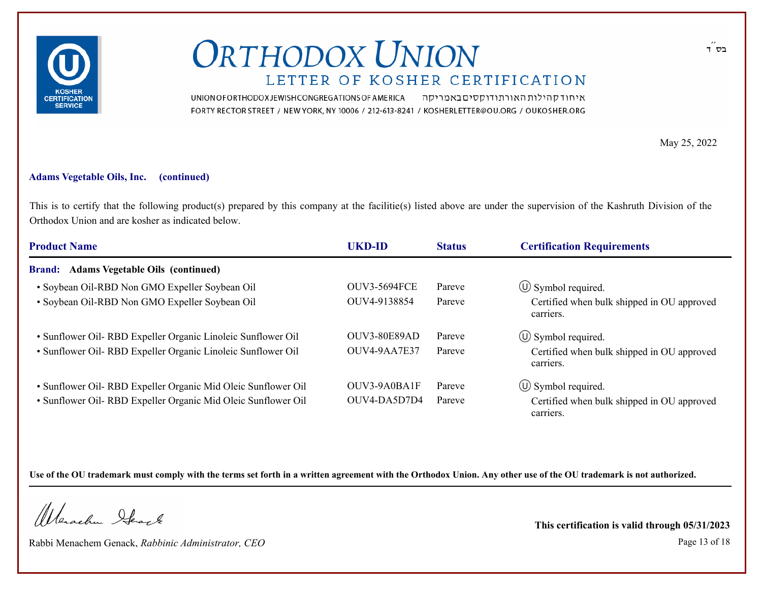

UNION OF ORTHODOX JEWISH CONGREGATIONS OF AMERICA איחוד קהילות האורתודוקסים באמריקה FORTY RECTOR STREET / NEW YORK, NY 10006 / 212-613-8241 / KOSHERLETTER@OU.ORG / OUKOSHER.ORG

May 25, 2022

#### **Adams Vegetable Oils, Inc. (continued)**

This is to certify that the following product(s) prepared by this company at the facilitie(s) listed above are under the supervision of the Kashruth Division of the Orthodox Union and are kosher as indicated below.

| <b>Product Name</b>                                           | UKD-ID              | <b>Status</b> | <b>Certification Requirements</b>                       |  |
|---------------------------------------------------------------|---------------------|---------------|---------------------------------------------------------|--|
| <b>Brand:</b> Adams Vegetable Oils (continued)                |                     |               |                                                         |  |
| • Soybean Oil-RBD Non GMO Expeller Soybean Oil                | <b>OUV3-5694FCE</b> | Pareve        | $\circ$ Symbol required.                                |  |
| • Soybean Oil-RBD Non GMO Expeller Soybean Oil                | OUV4-9138854        | Pareve        | Certified when bulk shipped in OU approved<br>carriers. |  |
| • Sunflower Oil- RBD Expeller Organic Linoleic Sunflower Oil  | <b>OUV3-80E89AD</b> | Pareve        | $\circ$ Symbol required.                                |  |
| • Sunflower Oil- RBD Expeller Organic Linoleic Sunflower Oil  | OUV4-9AA7E37        | Pareve        | Certified when bulk shipped in OU approved<br>carriers. |  |
| • Sunflower Oil- RBD Expeller Organic Mid Oleic Sunflower Oil | OUV3-9A0BA1F        | Pareve        | $\circ$ Symbol required.                                |  |
| • Sunflower Oil- RBD Expeller Organic Mid Oleic Sunflower Oil | OUV4-DA5D7D4        | Pareve        | Certified when bulk shipped in OU approved<br>carriers. |  |

**Use of the OU trademark must comply with the terms set forth in a written agreement with the Orthodox Union. Any other use of the OU trademark is not authorized.**

Wanachu Stack

Rabbi Menachem Genack, *Rabbinic Administrator, CEO* Page 13 of 18

**This certification is valid through 05/31/2023**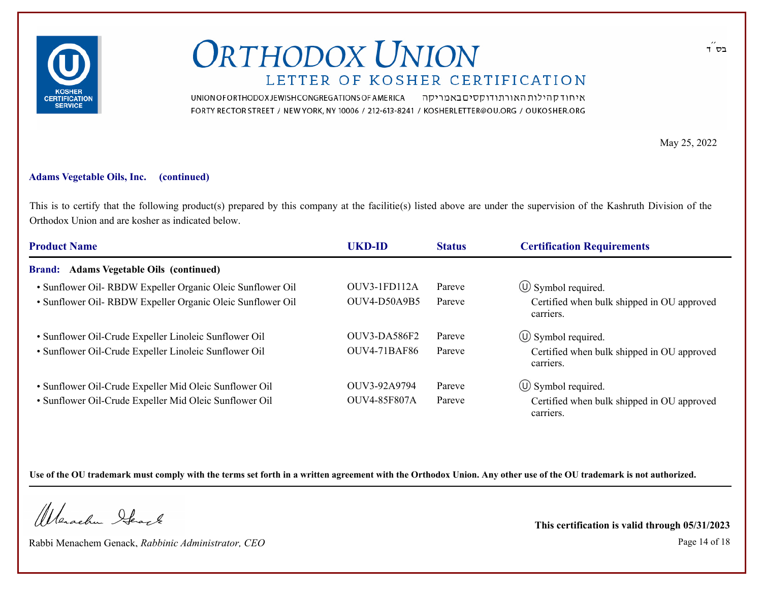

UNION OF ORTHODOX JEWISH CONGREGATIONS OF AMERICA איחוד קהילות האורתודוקסים באמריקה FORTY RECTOR STREET / NEW YORK, NY 10006 / 212-613-8241 / KOSHERLETTER@OU.ORG / OUKOSHER.ORG

May 25, 2022

#### **Adams Vegetable Oils, Inc. (continued)**

This is to certify that the following product(s) prepared by this company at the facilitie(s) listed above are under the supervision of the Kashruth Division of the Orthodox Union and are kosher as indicated below.

| <b>Product Name</b>                                        | UKD-ID              | <b>Status</b> | <b>Certification Requirements</b>                       |  |
|------------------------------------------------------------|---------------------|---------------|---------------------------------------------------------|--|
| <b>Brand:</b> Adams Vegetable Oils (continued)             |                     |               |                                                         |  |
| • Sunflower Oil- RBDW Expeller Organic Oleic Sunflower Oil | OUV3-1FD112A        | Pareve        | $\circ$ Symbol required.                                |  |
| • Sunflower Oil- RBDW Expeller Organic Oleic Sunflower Oil | <b>OUV4-D50A9B5</b> | Pareve        | Certified when bulk shipped in OU approved<br>carriers. |  |
| • Sunflower Oil-Crude Expeller Linoleic Sunflower Oil      | OUV3-DA586F2        | Pareve        | $\circled{1}$ Symbol required.                          |  |
| • Sunflower Oil-Crude Expeller Linoleic Sunflower Oil      | <b>OUV4-71BAF86</b> | Pareve        | Certified when bulk shipped in OU approved<br>carriers. |  |
| • Sunflower Oil-Crude Expeller Mid Oleic Sunflower Oil     | OUV3-92A9794        | Pareve        | $\circ$ Symbol required.                                |  |
| · Sunflower Oil-Crude Expeller Mid Oleic Sunflower Oil     | <b>OUV4-85F807A</b> | Pareve        | Certified when bulk shipped in OU approved<br>carriers. |  |

**Use of the OU trademark must comply with the terms set forth in a written agreement with the Orthodox Union. Any other use of the OU trademark is not authorized.**

Warachen Stack

Rabbi Menachem Genack, *Rabbinic Administrator, CEO* Page 14 of 18

**This certification is valid through 05/31/2023**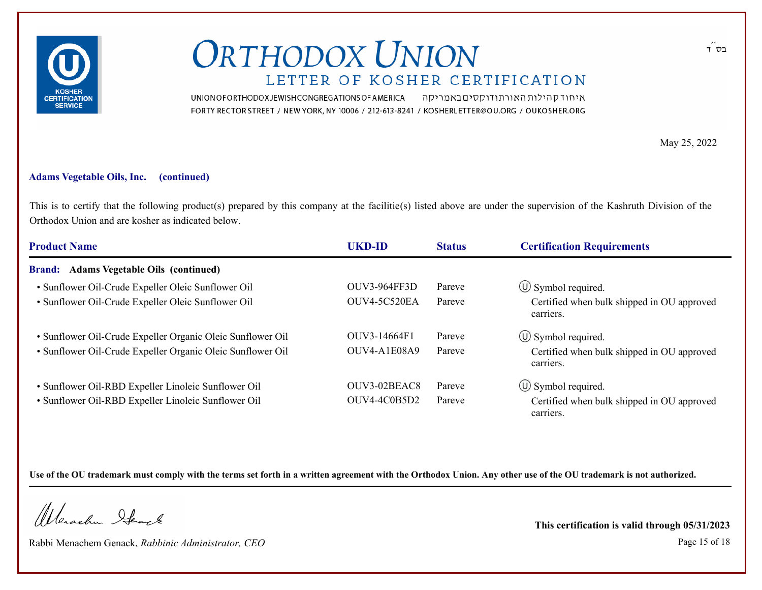

UNION OF ORTHODOX JEWISH CONGREGATIONS OF AMERICA איחוד קהילות האורתודוקסים באמריקה FORTY RECTOR STREET / NEW YORK, NY 10006 / 212-613-8241 / KOSHERLETTER@OU.ORG / OUKOSHER.ORG

May 25, 2022

#### **Adams Vegetable Oils, Inc. (continued)**

This is to certify that the following product(s) prepared by this company at the facilitie(s) listed above are under the supervision of the Kashruth Division of the Orthodox Union and are kosher as indicated below.

| <b>Product Name</b>                                        | <b>UKD-ID</b>       | <b>Status</b> | <b>Certification Requirements</b>                       |  |
|------------------------------------------------------------|---------------------|---------------|---------------------------------------------------------|--|
| <b>Brand:</b> Adams Vegetable Oils (continued)             |                     |               |                                                         |  |
| • Sunflower Oil-Crude Expeller Oleic Sunflower Oil         | <b>OUV3-964FF3D</b> | Pareve        | $\circ$ Symbol required.                                |  |
| • Sunflower Oil-Crude Expeller Oleic Sunflower Oil         | OUV4-5C520EA        | Pareve        | Certified when bulk shipped in OU approved<br>carriers. |  |
| • Sunflower Oil-Crude Expeller Organic Oleic Sunflower Oil | OUV3-14664F1        | Pareve        | $\circ$ Symbol required.                                |  |
| • Sunflower Oil-Crude Expeller Organic Oleic Sunflower Oil | OUV4-A1E08A9        | Pareve        | Certified when bulk shipped in OU approved<br>carriers. |  |
| • Sunflower Oil-RBD Expeller Linoleic Sunflower Oil        | OUV3-02BEAC8        | Pareve        | $\circ$ Symbol required.                                |  |
| • Sunflower Oil-RBD Expeller Linoleic Sunflower Oil        | OUV4-4C0B5D2        | Pareve        | Certified when bulk shipped in OU approved<br>carriers. |  |

**Use of the OU trademark must comply with the terms set forth in a written agreement with the Orthodox Union. Any other use of the OU trademark is not authorized.**

Wanachu Stack

Rabbi Menachem Genack, *Rabbinic Administrator, CEO* Page 15 of 18

**This certification is valid through 05/31/2023**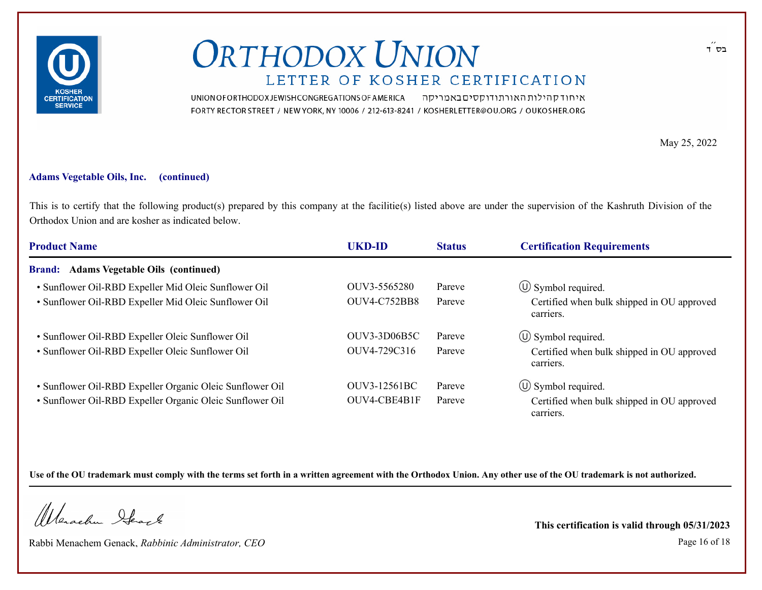

UNION OF ORTHODOX JEWISH CONGREGATIONS OF AMERICA איחוד קהילות האורתודוקסים באמריקה FORTY RECTOR STREET / NEW YORK, NY 10006 / 212-613-8241 / KOSHERLETTER@OU.ORG / OUKOSHER.ORG

May 25, 2022

#### **Adams Vegetable Oils, Inc. (continued)**

This is to certify that the following product(s) prepared by this company at the facilitie(s) listed above are under the supervision of the Kashruth Division of the Orthodox Union and are kosher as indicated below.

| <b>Product Name</b>                                      | <b>UKD-ID</b>       | <b>Status</b> | <b>Certification Requirements</b>                       |  |
|----------------------------------------------------------|---------------------|---------------|---------------------------------------------------------|--|
| <b>Brand:</b> Adams Vegetable Oils (continued)           |                     |               |                                                         |  |
| • Sunflower Oil-RBD Expeller Mid Oleic Sunflower Oil     | OUV3-5565280        | Pareve        | $\circ$ Symbol required.                                |  |
| • Sunflower Oil-RBD Expeller Mid Oleic Sunflower Oil     | <b>OUV4-C752BB8</b> | Pareve        | Certified when bulk shipped in OU approved<br>carriers. |  |
| • Sunflower Oil-RBD Expeller Oleic Sunflower Oil         | OUV3-3D06B5C        | Pareve        | $\circ$ Symbol required.                                |  |
| • Sunflower Oil-RBD Expeller Oleic Sunflower Oil         | OUV4-729C316        | Pareve        | Certified when bulk shipped in OU approved<br>carriers. |  |
| • Sunflower Oil-RBD Expeller Organic Oleic Sunflower Oil | OUV3-12561BC        | Pareve        | $\circ$ Symbol required.                                |  |
| • Sunflower Oil-RBD Expeller Organic Oleic Sunflower Oil | OUV4-CBE4B1F        | Pareve        | Certified when bulk shipped in OU approved<br>carriers. |  |

**Use of the OU trademark must comply with the terms set forth in a written agreement with the Orthodox Union. Any other use of the OU trademark is not authorized.**

Warachen Stack

Rabbi Menachem Genack, *Rabbinic Administrator, CEO* Page 16 of 18

**This certification is valid through 05/31/2023**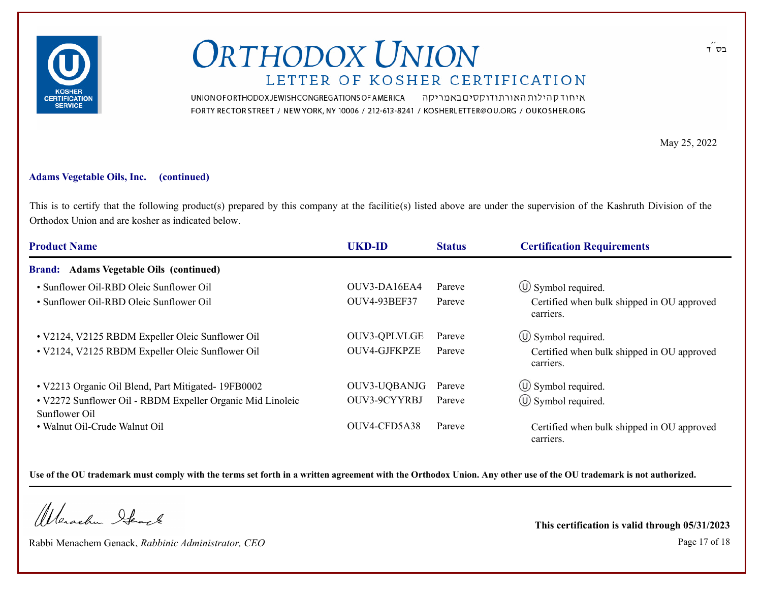

UNION OF ORTHODOX JEWISH CONGREGATIONS OF AMERICA איחוד קהילות האורתודוקסים באמריקה FORTY RECTOR STREET / NEW YORK, NY 10006 / 212-613-8241 / KOSHERLETTER@OU.ORG / OUKOSHER.ORG

May 25, 2022

#### **Adams Vegetable Oils, Inc. (continued)**

This is to certify that the following product(s) prepared by this company at the facilitie(s) listed above are under the supervision of the Kashruth Division of the Orthodox Union and are kosher as indicated below.

| <b>Product Name</b>                                                         | <b>UKD-ID</b>       | <b>Status</b> | <b>Certification Requirements</b>                       |  |
|-----------------------------------------------------------------------------|---------------------|---------------|---------------------------------------------------------|--|
| Brand: Adams Vegetable Oils (continued)                                     |                     |               |                                                         |  |
| • Sunflower Oil-RBD Oleic Sunflower Oil                                     | OUV3-DA16EA4        | Pareve        | $\circ$ Symbol required.                                |  |
| • Sunflower Oil-RBD Oleic Sunflower Oil                                     | <b>OUV4-93BEF37</b> | Pareve        | Certified when bulk shipped in OU approved<br>carriers. |  |
| • V2124, V2125 RBDM Expeller Oleic Sunflower Oil                            | OUV3-QPLVLGE        | Pareve        | $\circ$ Symbol required.                                |  |
| • V2124, V2125 RBDM Expeller Oleic Sunflower Oil                            | OUV4-GJFKPZE        | Pareve        | Certified when bulk shipped in OU approved<br>carriers. |  |
| • V2213 Organic Oil Blend, Part Mitigated- 19FB0002                         | OUV3-UQBANJG        | Pareve        | $\circ$ Symbol required.                                |  |
| • V2272 Sunflower Oil - RBDM Expeller Organic Mid Linoleic<br>Sunflower Oil | OUV3-9CYYRBJ        | Pareve        | $\circled{1}$ Symbol required.                          |  |
| • Walnut Oil-Crude Walnut Oil                                               | OUV4-CFD5A38        | Pareve        | Certified when bulk shipped in OU approved<br>carriers. |  |

**Use of the OU trademark must comply with the terms set forth in a written agreement with the Orthodox Union. Any other use of the OU trademark is not authorized.**

Wanachu Stack

Rabbi Menachem Genack, *Rabbinic Administrator, CEO* Page 17 of 18

**This certification is valid through 05/31/2023**